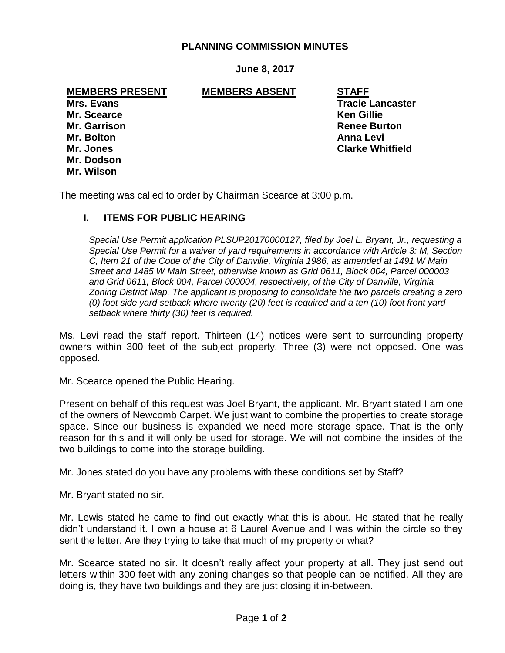### **PLANNING COMMISSION MINUTES**

### **June 8, 2017**

#### **MEMBERS PRESENT MEMBERS ABSENT STAFF**

**Mr. Scearce Ken Gillie Mr. Garrison Renee Burton Mr. Bolton Anna Levi Mr. Dodson Mr. Wilson**

**Mrs. Evans Mrs. Evans Tracie Lancaster Mr. Jones Clarke Whitfield**

The meeting was called to order by Chairman Scearce at 3:00 p.m.

### **I. ITEMS FOR PUBLIC HEARING**

*Special Use Permit application PLSUP20170000127, filed by Joel L. Bryant, Jr., requesting a Special Use Permit for a waiver of yard requirements in accordance with Article 3: M, Section C, Item 21 of the Code of the City of Danville, Virginia 1986, as amended at 1491 W Main Street and 1485 W Main Street, otherwise known as Grid 0611, Block 004, Parcel 000003 and Grid 0611, Block 004, Parcel 000004, respectively, of the City of Danville, Virginia Zoning District Map. The applicant is proposing to consolidate the two parcels creating a zero (0) foot side yard setback where twenty (20) feet is required and a ten (10) foot front yard setback where thirty (30) feet is required.* 

Ms. Levi read the staff report. Thirteen (14) notices were sent to surrounding property owners within 300 feet of the subject property. Three (3) were not opposed. One was opposed.

Mr. Scearce opened the Public Hearing.

Present on behalf of this request was Joel Bryant, the applicant. Mr. Bryant stated I am one of the owners of Newcomb Carpet. We just want to combine the properties to create storage space. Since our business is expanded we need more storage space. That is the only reason for this and it will only be used for storage. We will not combine the insides of the two buildings to come into the storage building.

Mr. Jones stated do you have any problems with these conditions set by Staff?

Mr. Bryant stated no sir.

Mr. Lewis stated he came to find out exactly what this is about. He stated that he really didn't understand it. I own a house at 6 Laurel Avenue and I was within the circle so they sent the letter. Are they trying to take that much of my property or what?

Mr. Scearce stated no sir. It doesn't really affect your property at all. They just send out letters within 300 feet with any zoning changes so that people can be notified. All they are doing is, they have two buildings and they are just closing it in-between.